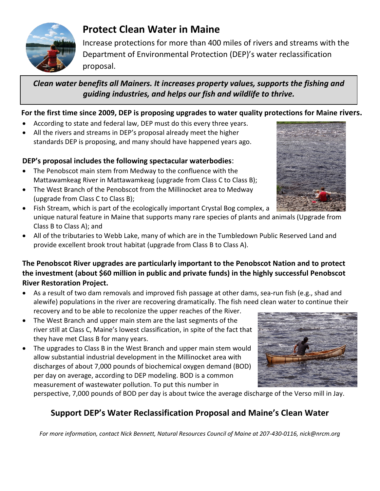

# **Protect Clean Water in Maine**

Increase protections for more than 400 miles of rivers and streams with the Department of Environmental Protection (DEP)'s water reclassification proposal.

*Clean water benefits all Mainers. It increases property values, supports the fishing and guiding industries, and helps our fish and wildlife to thrive.*

#### **For the first time since 2009, DEP is proposing upgrades to water quality protections for Maine rivers.**

- According to state and federal law, DEP must do this every three years.
- All the rivers and streams in DEP's proposal already meet the higher standards DEP is proposing, and many should have happened years ago.

### **DEP's proposal includes the following spectacular waterbodies**:

- The Penobscot main stem from Medway to the confluence with the Mattawamkeag River in Mattawamkeag (upgrade from Class C to Class B);
- The West Branch of the Penobscot from the Millinocket area to Medway (upgrade from Class C to Class B);
- Fish Stream, which is part of the ecologically important Crystal Bog complex, a unique natural feature in Maine that supports many rare species of plants and animals (Upgrade from Class B to Class A); and
- All of the tributaries to Webb Lake, many of which are in the Tumbledown Public Reserved Land and provide excellent brook trout habitat (upgrade from Class B to Class A).

### **The Penobscot River upgrades are particularly important to the Penobscot Nation and to protect the investment (about \$60 million in public and private funds) in the highly successful Penobscot River Restoration Project.**

- As a result of two dam removals and improved fish passage at other dams, sea-run fish (e.g., shad and alewife) populations in the river are recovering dramatically. The fish need clean water to continue their recovery and to be able to recolonize the upper reaches of the River.
- The West Branch and upper main stem are the last segments of the river still at Class C, Maine's lowest classification, in spite of the fact that they have met Class B for many years.
- The upgrades to Class B in the West Branch and upper main stem would allow substantial industrial development in the Millinocket area with discharges of about 7,000 pounds of biochemical oxygen demand (BOD) per day on average, according to DEP modeling. BOD is a common measurement of wastewater pollution. To put this number in

perspective, 7,000 pounds of BOD per day is about twice the average discharge of the Verso mill in Jay.

## **Support DEP's Water Reclassification Proposal and Maine's Clean Water**

*For more information, contact Nick Bennett, Natural Resources Council of Maine at 207-430-0116, nick@nrcm.org*